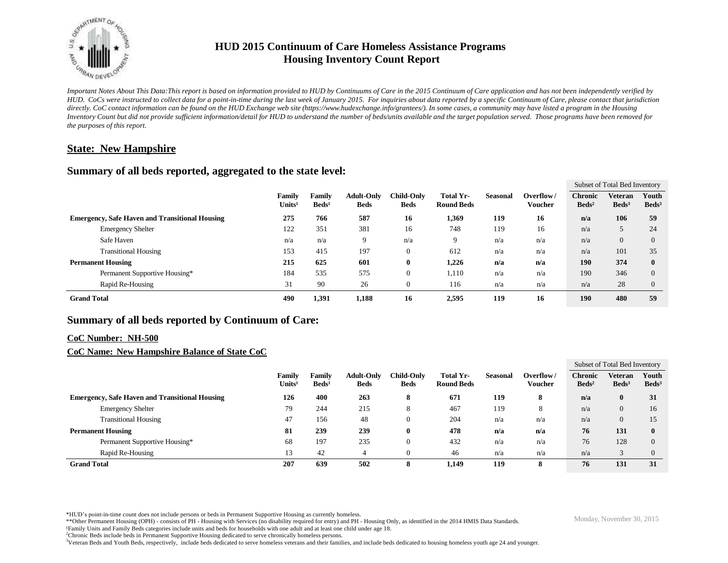

# **HUD 2015 Continuum of Care Homeless Assistance Programs Housing Inventory Count Report**

*Important Notes About This Data:This report is based on information provided to HUD by Continuums of Care in the 2015 Continuum of Care application and has not been independently verified by HUD. CoCs were instructed to collect data for a point-in-time during the last week of January 2015. For inquiries about data reported by a specific Continuum of Care, please contact that jurisdiction*  directly. CoC contact information can be found on the HUD Exchange web site (https://www.hudexchange.info/grantees/). In some cases, a community may have listed a program in the Housing *Inventory Count but did not provide sufficient information/detail for HUD to understand the number of beds/units available and the target population served. Those programs have been removed for the purposes of this report.*

## **State: New Hampshire**

### **Summary of all beds reported, aggregated to the state level:**

|                                                       |                               |                                |                           |                                  |                                  |                                       |                 |                      | Subset of Total Bed Inventory       |                                   |                          |
|-------------------------------------------------------|-------------------------------|--------------------------------|---------------------------|----------------------------------|----------------------------------|---------------------------------------|-----------------|----------------------|-------------------------------------|-----------------------------------|--------------------------|
|                                                       |                               | <b>Family</b><br>$\bf Units^1$ | Familv<br>$\text{Beds}^1$ | <b>Adult-Only</b><br><b>Beds</b> | <b>Child-Only</b><br><b>Beds</b> | <b>Total Yr-</b><br><b>Round Beds</b> | <b>Seasonal</b> | Overflow/<br>Voucher | <b>Chronic</b><br>$\mathbf{Beds^2}$ | <b>Veteran</b><br>$\text{Beds}^3$ | Youth<br>$\text{Beds}^3$ |
| <b>Emergency, Safe Haven and Transitional Housing</b> |                               | 275                            | 766                       | 587                              | 16                               | 1,369                                 | 119             | 16                   | n/a                                 | 106                               | 59                       |
|                                                       | <b>Emergency Shelter</b>      | 122                            | 351                       | 381                              | 16                               | 748                                   | 119             | 16                   | n/a                                 |                                   | 24                       |
|                                                       | Safe Haven                    | n/a                            | n/a                       | 9                                | n/a                              | 9                                     | n/a             | n/a                  | n/a                                 | $\overline{0}$                    | $\Omega$                 |
|                                                       | <b>Transitional Housing</b>   | 153                            | 415                       | 197                              | $\overline{0}$                   | 612                                   | n/a             | n/a                  | n/a                                 | 101                               | 35                       |
| <b>Permanent Housing</b>                              |                               | 215                            | 625                       | 601                              | $\bf{0}$                         | 1.226                                 | n/a             | n/a                  | 190                                 | 374                               | $\mathbf{0}$             |
|                                                       | Permanent Supportive Housing* | 184                            | 535                       | 575                              | $\overline{0}$                   | 1,110                                 | n/a             | n/a                  | 190                                 | 346                               | $\Omega$                 |
|                                                       | Rapid Re-Housing              | 31                             | 90                        | 26                               | $\overline{0}$                   | 116                                   | n/a             | n/a                  | n/a                                 | 28                                | $\theta$                 |
| <b>Grand Total</b>                                    |                               | 490                            | 1,391                     | 1,188                            | 16                               | 2,595                                 | 119             | 16                   | 190                                 | 480                               | 59                       |

### **Summary of all beds reported by Continuum of Care:**

#### **CoC Number: NH-500**

#### **CoC Name: New Hampshire Balance of State CoC**

|                                                       |                              |                                  |                                  |                                  |                                |          |                      | Subset of Total Bed Inventory     |                            |                          |
|-------------------------------------------------------|------------------------------|----------------------------------|----------------------------------|----------------------------------|--------------------------------|----------|----------------------|-----------------------------------|----------------------------|--------------------------|
|                                                       | Family<br>Units <sup>1</sup> | <b>Family</b><br>$\text{Beds}^1$ | <b>Adult-Only</b><br><b>Beds</b> | <b>Child-Only</b><br><b>Beds</b> | Total Yr-<br><b>Round Beds</b> | Seasonal | Overflow/<br>Voucher | <b>Chronic</b><br>$\text{Beds}^2$ | Veteran<br>$\text{Beds}^3$ | Youth<br>$\text{Beds}^3$ |
| <b>Emergency, Safe Haven and Transitional Housing</b> | 126                          | 400                              | 263                              | 8                                | 671                            | 119      | 8                    | n/a                               | $\bf{0}$                   | 31                       |
| <b>Emergency Shelter</b>                              | 79                           | 244                              | 215                              | 8                                | 467                            | 119      | 8                    | n/a                               | 0                          | 16                       |
| <b>Transitional Housing</b>                           | 47                           | 156                              | 48                               | $\Omega$                         | 204                            | n/a      | n/a                  | n/a                               | $\Omega$                   | 15                       |
| <b>Permanent Housing</b>                              | 81                           | 239                              | 239                              | 0                                | 478                            | n/a      | n/a                  | 76                                | 131                        | $\bf{0}$                 |
| Permanent Supportive Housing*                         | 68                           | 197                              | 235                              | $\Omega$                         | 432                            | n/a      | n/a                  | 76                                | 128                        | $\Omega$                 |
| Rapid Re-Housing                                      | 13                           | 42                               | 4                                |                                  | 46                             | n/a      | n/a                  | n/a                               |                            | $\Omega$                 |
| <b>Grand Total</b>                                    | 207                          | 639                              | 502                              | 8                                | 1.149                          | 119      | 8                    | 76                                | 131                        | 31                       |

\*HUD's point-in-time count does not include persons or beds in Permanent Supportive Housing as currently homeless.<br>\*\*Other Permanent Housing (OPH) - consists of PH - Housing with Services (no disability required for entry)

¹Family Units and Family Beds categories include units and beds for households with one adult and at least one child under age 18.

<sup>2</sup>Chronic Beds include beds in Permanent Supportive Housing dedicated to serve chronically homeless persons.

<sup>3</sup>Veteran Beds and Youth Beds, respectively, include beds dedicated to serve homeless veterans and their families, and include beds dedicated to housing homeless youth age 24 and younger.